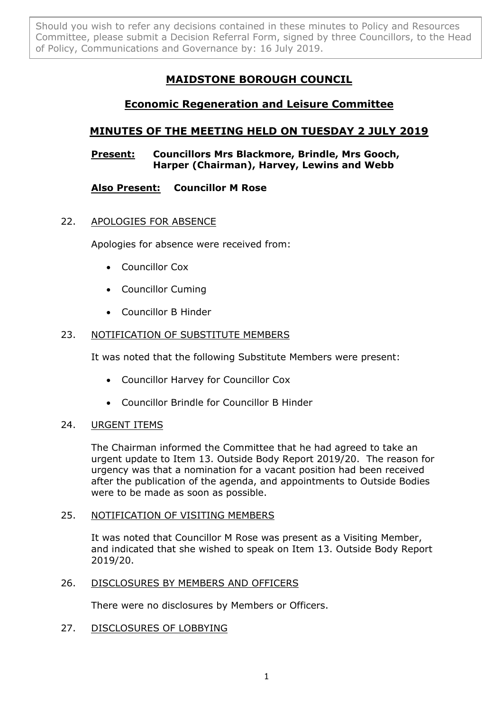Should you wish to refer any decisions contained in these minutes to Policy and Resources Committee, please submit a Decision Referral Form, signed by three Councillors, to the Head of Policy, Communications and Governance by: 16 July 2019.

# **MAIDSTONE BOROUGH COUNCIL**

## **Economic Regeneration and Leisure Committee**

## **MINUTES OF THE MEETING HELD ON TUESDAY 2 JULY 2019**

## **Present: Councillors Mrs Blackmore, Brindle, Mrs Gooch, Harper (Chairman), Harvey, Lewins and Webb**

## **Also Present: Councillor M Rose**

## 22. APOLOGIES FOR ABSENCE

Apologies for absence were received from:

- Councillor Cox
- Councillor Cuming
- Councillor B Hinder

## 23. NOTIFICATION OF SUBSTITUTE MEMBERS

It was noted that the following Substitute Members were present:

- Councillor Harvey for Councillor Cox
- Councillor Brindle for Councillor B Hinder

## 24. URGENT ITEMS

The Chairman informed the Committee that he had agreed to take an urgent update to Item 13. Outside Body Report 2019/20. The reason for urgency was that a nomination for a vacant position had been received after the publication of the agenda, and appointments to Outside Bodies were to be made as soon as possible.

## 25. NOTIFICATION OF VISITING MEMBERS

It was noted that Councillor M Rose was present as a Visiting Member, and indicated that she wished to speak on Item 13. Outside Body Report 2019/20.

## 26. DISCLOSURES BY MEMBERS AND OFFICERS

There were no disclosures by Members or Officers.

## 27. DISCLOSURES OF LOBBYING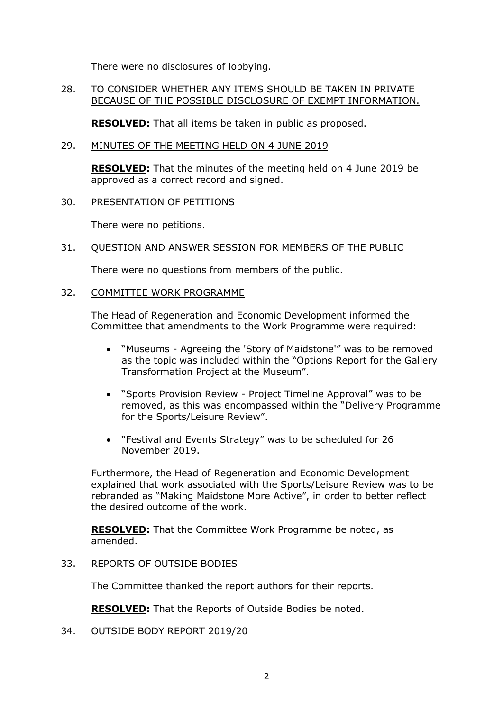There were no disclosures of lobbying.

#### 28. TO CONSIDER WHETHER ANY ITEMS SHOULD BE TAKEN IN PRIVATE BECAUSE OF THE POSSIBLE DISCLOSURE OF EXEMPT INFORMATION.

**RESOLVED:** That all items be taken in public as proposed.

#### 29. MINUTES OF THE MEETING HELD ON 4 JUNE 2019

**RESOLVED:** That the minutes of the meeting held on 4 June 2019 be approved as a correct record and signed.

#### 30. PRESENTATION OF PETITIONS

There were no petitions.

#### 31. QUESTION AND ANSWER SESSION FOR MEMBERS OF THE PUBLIC

There were no questions from members of the public.

#### 32. COMMITTEE WORK PROGRAMME

The Head of Regeneration and Economic Development informed the Committee that amendments to the Work Programme were required:

- "Museums Agreeing the 'Story of Maidstone'" was to be removed as the topic was included within the "Options Report for the Gallery Transformation Project at the Museum".
- "Sports Provision Review Project Timeline Approval" was to be removed, as this was encompassed within the "Delivery Programme for the Sports/Leisure Review".
- "Festival and Events Strategy" was to be scheduled for 26 November 2019.

Furthermore, the Head of Regeneration and Economic Development explained that work associated with the Sports/Leisure Review was to be rebranded as "Making Maidstone More Active", in order to better reflect the desired outcome of the work.

**RESOLVED:** That the Committee Work Programme be noted, as amended.

#### 33. REPORTS OF OUTSIDE BODIES

The Committee thanked the report authors for their reports.

**RESOLVED:** That the Reports of Outside Bodies be noted.

34. OUTSIDE BODY REPORT 2019/20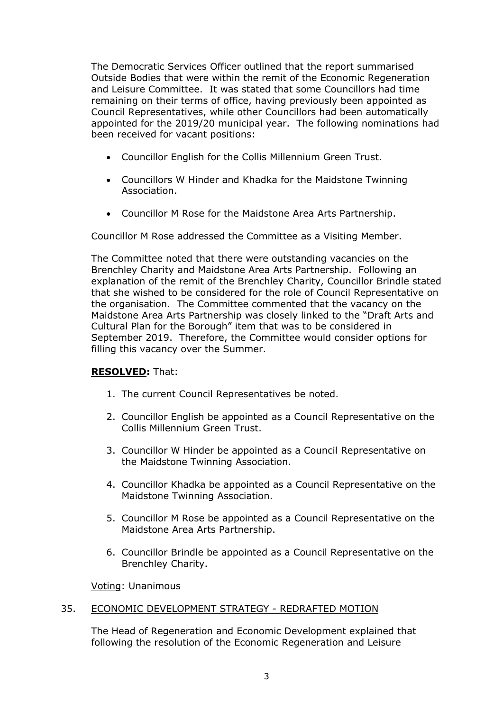The Democratic Services Officer outlined that the report summarised Outside Bodies that were within the remit of the Economic Regeneration and Leisure Committee. It was stated that some Councillors had time remaining on their terms of office, having previously been appointed as Council Representatives, while other Councillors had been automatically appointed for the 2019/20 municipal year. The following nominations had been received for vacant positions:

- Councillor English for the Collis Millennium Green Trust.
- Councillors W Hinder and Khadka for the Maidstone Twinning Association.
- Councillor M Rose for the Maidstone Area Arts Partnership.

Councillor M Rose addressed the Committee as a Visiting Member.

The Committee noted that there were outstanding vacancies on the Brenchley Charity and Maidstone Area Arts Partnership. Following an explanation of the remit of the Brenchley Charity, Councillor Brindle stated that she wished to be considered for the role of Council Representative on the organisation. The Committee commented that the vacancy on the Maidstone Area Arts Partnership was closely linked to the "Draft Arts and Cultural Plan for the Borough" item that was to be considered in September 2019. Therefore, the Committee would consider options for filling this vacancy over the Summer.

## **RESOLVED:** That:

- 1. The current Council Representatives be noted.
- 2. Councillor English be appointed as a Council Representative on the Collis Millennium Green Trust.
- 3. Councillor W Hinder be appointed as a Council Representative on the Maidstone Twinning Association.
- 4. Councillor Khadka be appointed as a Council Representative on the Maidstone Twinning Association.
- 5. Councillor M Rose be appointed as a Council Representative on the Maidstone Area Arts Partnership.
- 6. Councillor Brindle be appointed as a Council Representative on the Brenchley Charity.

Voting: Unanimous

#### 35. ECONOMIC DEVELOPMENT STRATEGY - REDRAFTED MOTION

The Head of Regeneration and Economic Development explained that following the resolution of the Economic Regeneration and Leisure